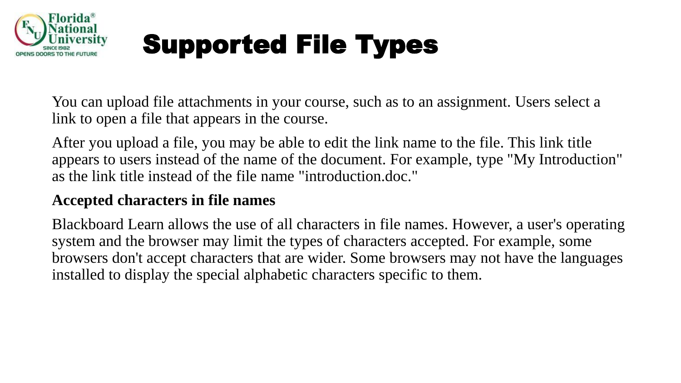

You can upload file attachments in your course, such as to an assignment. Users select a link to open a file that appears in the course.

After you upload a file, you may be able to edit the link name to the file. This link title appears to users instead of the name of the document. For example, type "My Introduction" as the link title instead of the file name "introduction.doc."

### **Accepted characters in file names**

Blackboard Learn allows the use of all characters in file names. However, a user's operating system and the browser may limit the types of characters accepted. For example, some browsers don't accept characters that are wider. Some browsers may not have the languages installed to display the special alphabetic characters specific to them.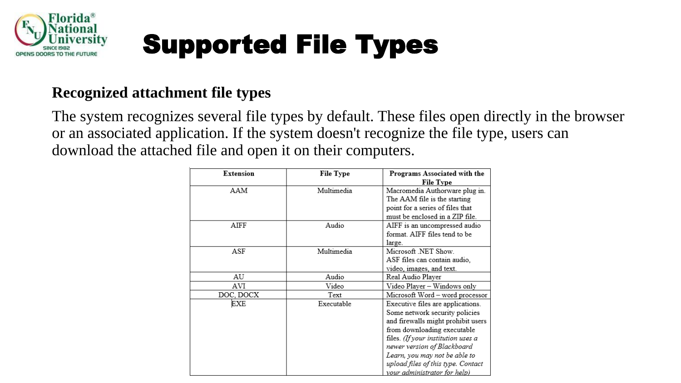

### **Recognized attachment file types**

The system recognizes several file types by default. These files open directly in the browser or an associated application. If the system doesn't recognize the file type, users can download the attached file and open it on their computers.

| <b>Extension</b> | <b>File Type</b> | Programs Associated with the       |
|------------------|------------------|------------------------------------|
|                  |                  | <b>File Type</b>                   |
| AAM              | Multimedia       | Macromedia Authorware plug in.     |
|                  |                  | The AAM file is the starting       |
|                  |                  | point for a series of files that   |
|                  |                  | must be enclosed in a ZIP file.    |
| AIFF             | Audio            | AIFF is an uncompressed audio      |
|                  |                  | format. AIFF files tend to be      |
|                  |                  | large.                             |
| ASF              | Multimedia       | Microsoft .NET Show.               |
|                  |                  | ASF files can contain audio,       |
|                  |                  | video, images, and text.           |
| AU               | Audio            | Real Audio Player                  |
| AVI              | Video            | Video Player – Windows only        |
| DOC, DOCX        | Text             | Microsoft Word - word processor    |
| EXE              | Executable       | Executive files are applications.  |
|                  |                  | Some network security policies     |
|                  |                  | and firewalls might prohibit users |
|                  |                  | from downloading executable        |
|                  |                  | files. (If your institution uses a |
|                  |                  | newer version of Blackboard        |
|                  |                  | Learn, you may not be able to      |
|                  |                  | upload files of this type. Contact |
|                  |                  | your administrator for help)       |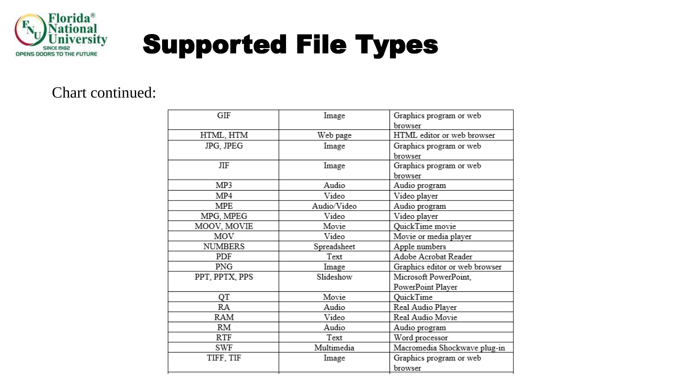

#### Chart continued:

| GIF            | Image       | Graphics program or web        |
|----------------|-------------|--------------------------------|
|                |             | browser                        |
| HTML, HTM      | Web page    | HTML editor or web browser     |
| JPG, JPEG      | Image       | Graphics program or web        |
|                |             | browser                        |
| ЛF             | Image       | Graphics program or web        |
|                |             | browser                        |
| MP3            | Audio       | Audio program                  |
| MP4            | Video       | Video player                   |
| MPE            | Audio/Video | Audio program                  |
| MPG, MPEG      | Video       | Video player                   |
| MOOV, MOVIE    | Movie       | QuickTime movie                |
| MOV            | Video       | Movie or media player          |
| <b>NUMBERS</b> | Spreadsheet | Apple numbers                  |
| PDF            | Text        | Adobe Acrobat Reader           |
| PNG            | Image       | Graphics editor or web browser |
| PPT, PPTX, PPS | Slideshow   | Microsoft PowerPoint,          |
|                |             | PowerPoint Player              |
| QT             | Movie       | QuickTime                      |
| RA             | Audio       | Real Audio Player              |
| RAM            | Video       | Real Audio Movie               |
| RM             | Audio       | Audio program                  |
| RTF            | Text        | Word processor                 |
| SWF            | Multimedia  | Macromedia Shockwave plug-in   |
| TIFF, TIF      | Image       | Graphics program or web        |
|                |             | browser                        |
|                |             |                                |